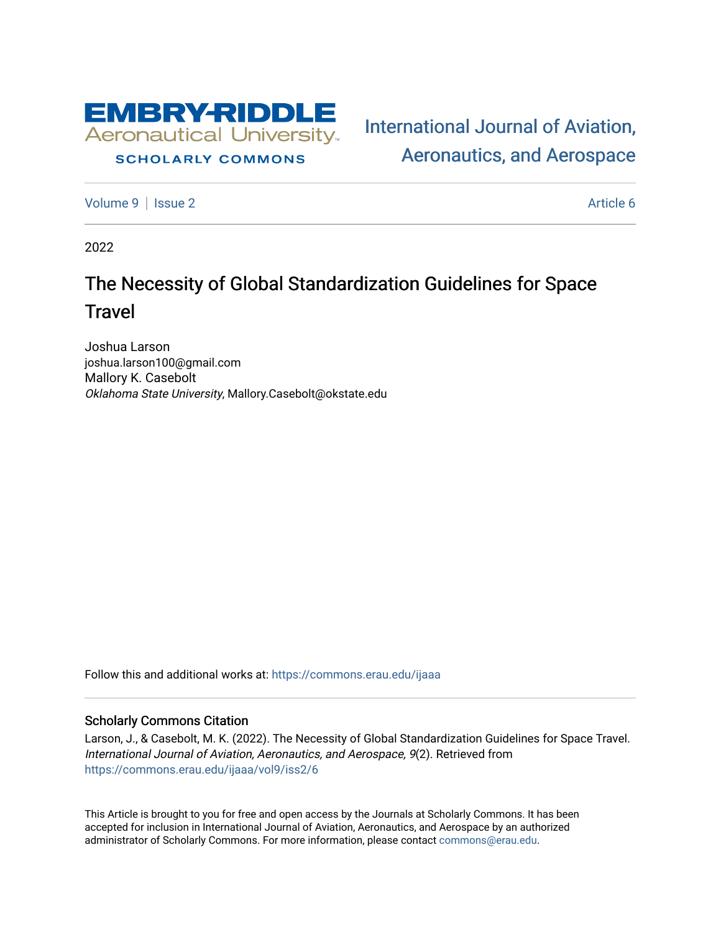

# **SCHOLARLY COMMONS**

[International Journal of Aviation,](https://commons.erau.edu/ijaaa)  [Aeronautics, and Aerospace](https://commons.erau.edu/ijaaa) 

[Volume 9](https://commons.erau.edu/ijaaa/vol9) | [Issue 2](https://commons.erau.edu/ijaaa/vol9/iss2) Article 6

2022

# The Necessity of Global Standardization Guidelines for Space **Travel**

Joshua Larson joshua.larson100@gmail.com Mallory K. Casebolt Oklahoma State University, Mallory.Casebolt@okstate.edu

Follow this and additional works at: [https://commons.erau.edu/ijaaa](https://commons.erau.edu/ijaaa?utm_source=commons.erau.edu%2Fijaaa%2Fvol9%2Fiss2%2F6&utm_medium=PDF&utm_campaign=PDFCoverPages) 

#### Scholarly Commons Citation

Larson, J., & Casebolt, M. K. (2022). The Necessity of Global Standardization Guidelines for Space Travel. International Journal of Aviation, Aeronautics, and Aerospace, 9(2). Retrieved from [https://commons.erau.edu/ijaaa/vol9/iss2/6](https://commons.erau.edu/ijaaa/vol9/iss2/6?utm_source=commons.erau.edu%2Fijaaa%2Fvol9%2Fiss2%2F6&utm_medium=PDF&utm_campaign=PDFCoverPages)

This Article is brought to you for free and open access by the Journals at Scholarly Commons. It has been accepted for inclusion in International Journal of Aviation, Aeronautics, and Aerospace by an authorized administrator of Scholarly Commons. For more information, please contact [commons@erau.edu](mailto:commons@erau.edu).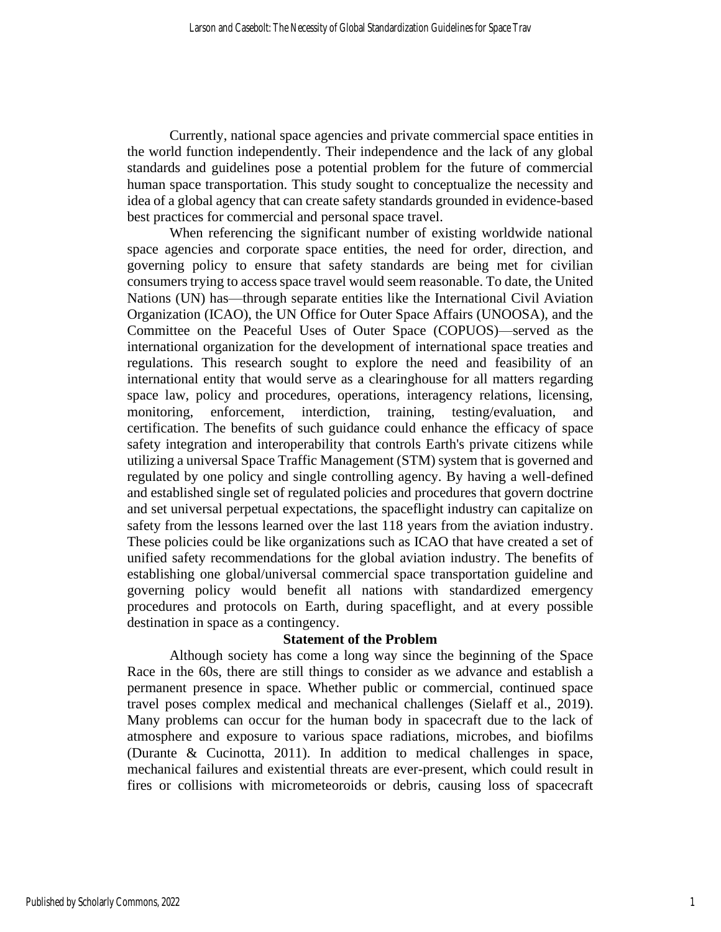Currently, national space agencies and private commercial space entities in the world function independently. Their independence and the lack of any global standards and guidelines pose a potential problem for the future of commercial human space transportation. This study sought to conceptualize the necessity and idea of a global agency that can create safety standards grounded in evidence-based best practices for commercial and personal space travel.

When referencing the significant number of existing worldwide national space agencies and corporate space entities, the need for order, direction, and governing policy to ensure that safety standards are being met for civilian consumers trying to access space travel would seem reasonable. To date, the United Nations (UN) has—through separate entities like the International Civil Aviation Organization (ICAO), the UN Office for Outer Space Affairs (UNOOSA), and the Committee on the Peaceful Uses of Outer Space (COPUOS)—served as the international organization for the development of international space treaties and regulations. This research sought to explore the need and feasibility of an international entity that would serve as a clearinghouse for all matters regarding space law, policy and procedures, operations, interagency relations, licensing, monitoring, enforcement, interdiction, training, testing/evaluation, and certification. The benefits of such guidance could enhance the efficacy of space safety integration and interoperability that controls Earth's private citizens while utilizing a universal Space Traffic Management (STM) system that is governed and regulated by one policy and single controlling agency. By having a well-defined and established single set of regulated policies and procedures that govern doctrine and set universal perpetual expectations, the spaceflight industry can capitalize on safety from the lessons learned over the last 118 years from the aviation industry. These policies could be like organizations such as ICAO that have created a set of unified safety recommendations for the global aviation industry. The benefits of establishing one global/universal commercial space transportation guideline and governing policy would benefit all nations with standardized emergency procedures and protocols on Earth, during spaceflight, and at every possible destination in space as a contingency.

#### **Statement of the Problem**

Although society has come a long way since the beginning of the Space Race in the 60s, there are still things to consider as we advance and establish a permanent presence in space. Whether public or commercial, continued space travel poses complex medical and mechanical challenges (Sielaff et al., 2019). Many problems can occur for the human body in spacecraft due to the lack of atmosphere and exposure to various space radiations, microbes, and biofilms (Durante & Cucinotta, 2011). In addition to medical challenges in space, mechanical failures and existential threats are ever-present, which could result in fires or collisions with micrometeoroids or debris, causing loss of spacecraft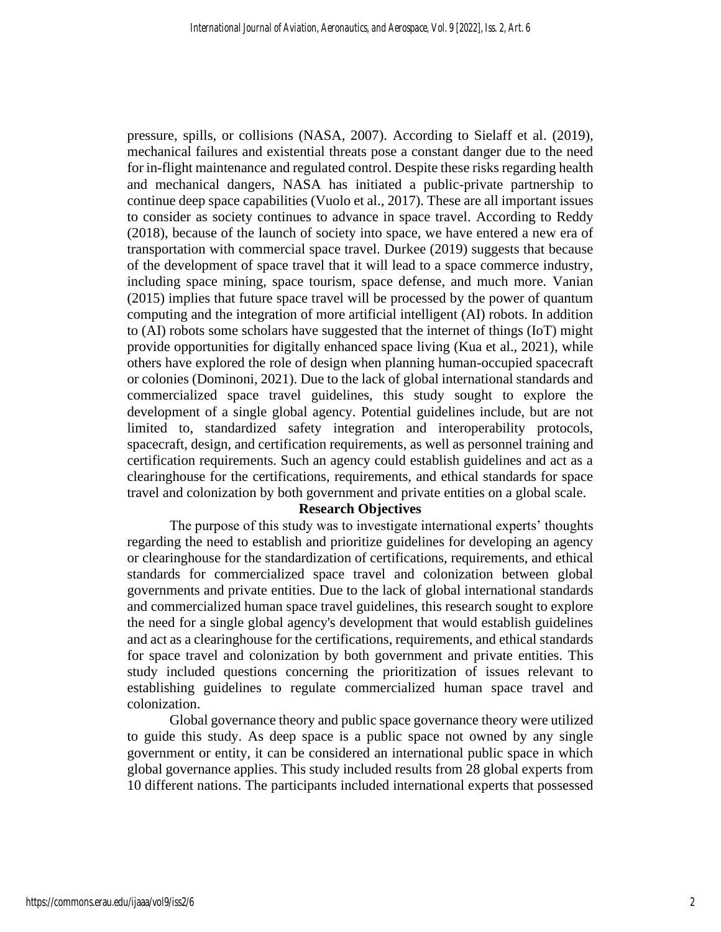pressure, spills, or collisions (NASA, 2007). According to Sielaff et al. (2019), mechanical failures and existential threats pose a constant danger due to the need for in-flight maintenance and regulated control. Despite these risks regarding health and mechanical dangers, NASA has initiated a public-private partnership to continue deep space capabilities (Vuolo et al., 2017). These are all important issues to consider as society continues to advance in space travel. According to Reddy (2018), because of the launch of society into space, we have entered a new era of transportation with commercial space travel. Durkee (2019) suggests that because of the development of space travel that it will lead to a space commerce industry, including space mining, space tourism, space defense, and much more. Vanian (2015) implies that future space travel will be processed by the power of quantum computing and the integration of more artificial intelligent (AI) robots. In addition to (AI) robots some scholars have suggested that the internet of things (IoT) might provide opportunities for digitally enhanced space living (Kua et al., 2021), while others have explored the role of design when planning human-occupied spacecraft or colonies (Dominoni, 2021). Due to the lack of global international standards and commercialized space travel guidelines, this study sought to explore the development of a single global agency. Potential guidelines include, but are not limited to, standardized safety integration and interoperability protocols, spacecraft, design, and certification requirements, as well as personnel training and certification requirements. Such an agency could establish guidelines and act as a clearinghouse for the certifications, requirements, and ethical standards for space travel and colonization by both government and private entities on a global scale.

# **Research Objectives**

The purpose of this study was to investigate international experts' thoughts regarding the need to establish and prioritize guidelines for developing an agency or clearinghouse for the standardization of certifications, requirements, and ethical standards for commercialized space travel and colonization between global governments and private entities. Due to the lack of global international standards and commercialized human space travel guidelines, this research sought to explore the need for a single global agency's development that would establish guidelines and act as a clearinghouse for the certifications, requirements, and ethical standards for space travel and colonization by both government and private entities. This study included questions concerning the prioritization of issues relevant to establishing guidelines to regulate commercialized human space travel and colonization.

Global governance theory and public space governance theory were utilized to guide this study. As deep space is a public space not owned by any single government or entity, it can be considered an international public space in which global governance applies. This study included results from 28 global experts from 10 different nations. The participants included international experts that possessed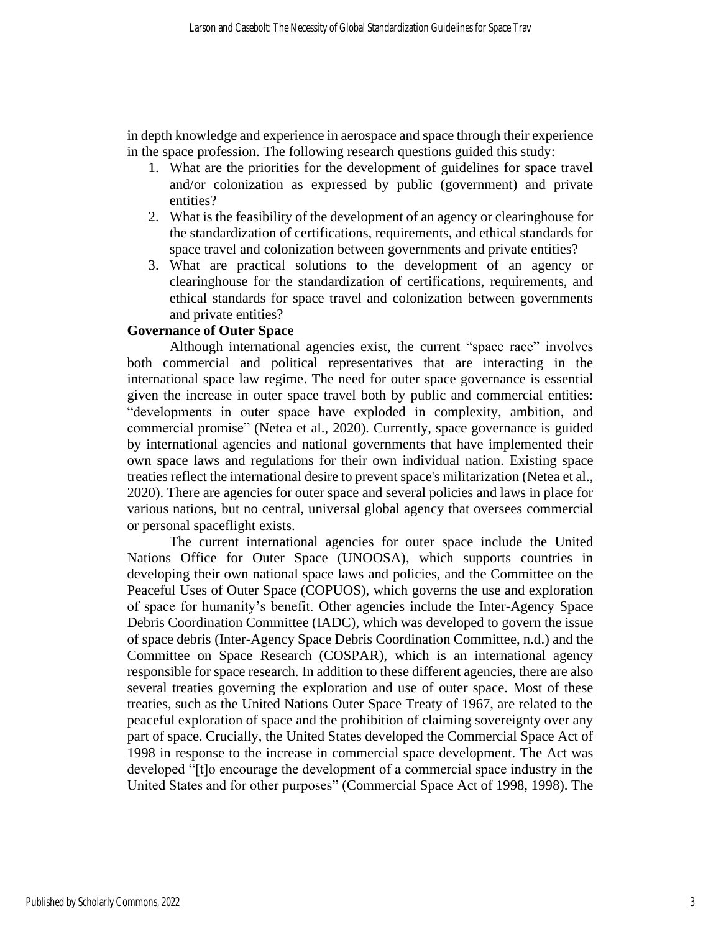in depth knowledge and experience in aerospace and space through their experience in the space profession. The following research questions guided this study:

- 1. What are the priorities for the development of guidelines for space travel and/or colonization as expressed by public (government) and private entities?
- 2. What is the feasibility of the development of an agency or clearinghouse for the standardization of certifications, requirements, and ethical standards for space travel and colonization between governments and private entities?
- 3. What are practical solutions to the development of an agency or clearinghouse for the standardization of certifications, requirements, and ethical standards for space travel and colonization between governments and private entities?

# **Governance of Outer Space**

Although international agencies exist, the current "space race" involves both commercial and political representatives that are interacting in the international space law regime. The need for outer space governance is essential given the increase in outer space travel both by public and commercial entities: "developments in outer space have exploded in complexity, ambition, and commercial promise" (Netea et al., 2020). Currently, space governance is guided by international agencies and national governments that have implemented their own space laws and regulations for their own individual nation. Existing space treaties reflect the international desire to prevent space's militarization (Netea et al., 2020). There are agencies for outer space and several policies and laws in place for various nations, but no central, universal global agency that oversees commercial or personal spaceflight exists.

The current international agencies for outer space include the United Nations Office for Outer Space (UNOOSA), which supports countries in developing their own national space laws and policies, and the Committee on the Peaceful Uses of Outer Space (COPUOS), which governs the use and exploration of space for humanity's benefit. Other agencies include the Inter-Agency Space Debris Coordination Committee (IADC), which was developed to govern the issue of space debris (Inter-Agency Space Debris Coordination Committee, n.d.) and the Committee on Space Research (COSPAR), which is an international agency responsible for space research. In addition to these different agencies, there are also several treaties governing the exploration and use of outer space. Most of these treaties, such as the United Nations Outer Space Treaty of 1967, are related to the peaceful exploration of space and the prohibition of claiming sovereignty over any part of space. Crucially, the United States developed the Commercial Space Act of 1998 in response to the increase in commercial space development. The Act was developed "[t]o encourage the development of a commercial space industry in the United States and for other purposes" (Commercial Space Act of 1998, 1998). The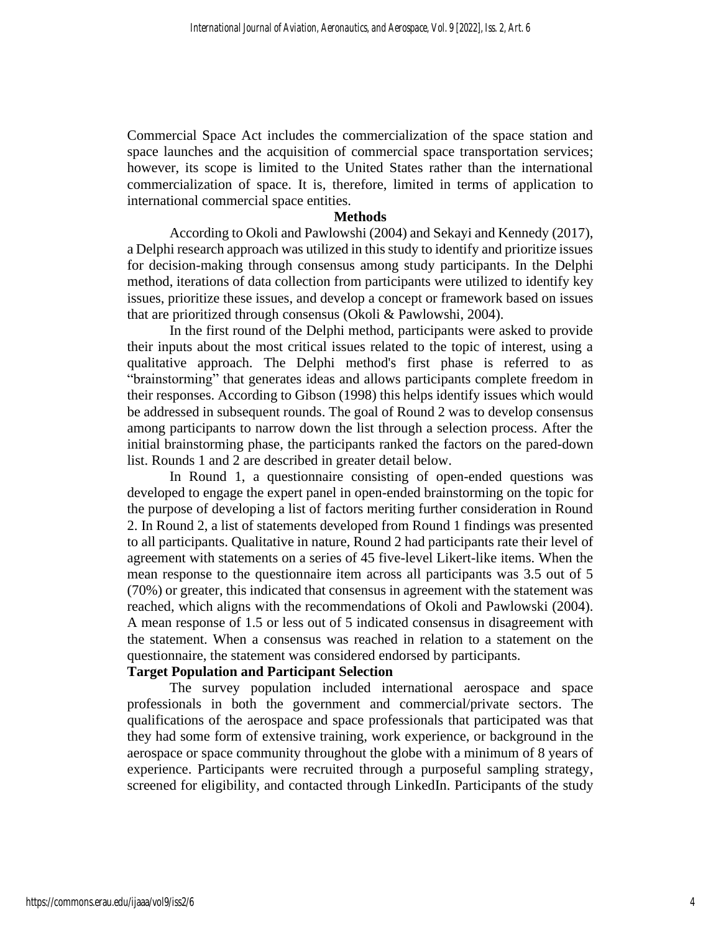Commercial Space Act includes the commercialization of the space station and space launches and the acquisition of commercial space transportation services; however, its scope is limited to the United States rather than the international commercialization of space. It is, therefore, limited in terms of application to international commercial space entities.

#### **Methods**

According to Okoli and Pawlowshi (2004) and Sekayi and Kennedy (2017), a Delphi research approach was utilized in this study to identify and prioritize issues for decision-making through consensus among study participants. In the Delphi method, iterations of data collection from participants were utilized to identify key issues, prioritize these issues, and develop a concept or framework based on issues that are prioritized through consensus (Okoli & Pawlowshi, 2004).

In the first round of the Delphi method, participants were asked to provide their inputs about the most critical issues related to the topic of interest, using a qualitative approach. The Delphi method's first phase is referred to as "brainstorming" that generates ideas and allows participants complete freedom in their responses. According to Gibson (1998) this helps identify issues which would be addressed in subsequent rounds. The goal of Round 2 was to develop consensus among participants to narrow down the list through a selection process. After the initial brainstorming phase, the participants ranked the factors on the pared-down list. Rounds 1 and 2 are described in greater detail below.

In Round 1, a questionnaire consisting of open-ended questions was developed to engage the expert panel in open-ended brainstorming on the topic for the purpose of developing a list of factors meriting further consideration in Round 2. In Round 2, a list of statements developed from Round 1 findings was presented to all participants. Qualitative in nature, Round 2 had participants rate their level of agreement with statements on a series of 45 five-level Likert-like items. When the mean response to the questionnaire item across all participants was 3.5 out of 5 (70%) or greater, this indicated that consensus in agreement with the statement was reached, which aligns with the recommendations of Okoli and Pawlowski (2004). A mean response of 1.5 or less out of 5 indicated consensus in disagreement with the statement. When a consensus was reached in relation to a statement on the questionnaire, the statement was considered endorsed by participants.

## **Target Population and Participant Selection**

The survey population included international aerospace and space professionals in both the government and commercial/private sectors. The qualifications of the aerospace and space professionals that participated was that they had some form of extensive training, work experience, or background in the aerospace or space community throughout the globe with a minimum of 8 years of experience. Participants were recruited through a purposeful sampling strategy, screened for eligibility, and contacted through LinkedIn. Participants of the study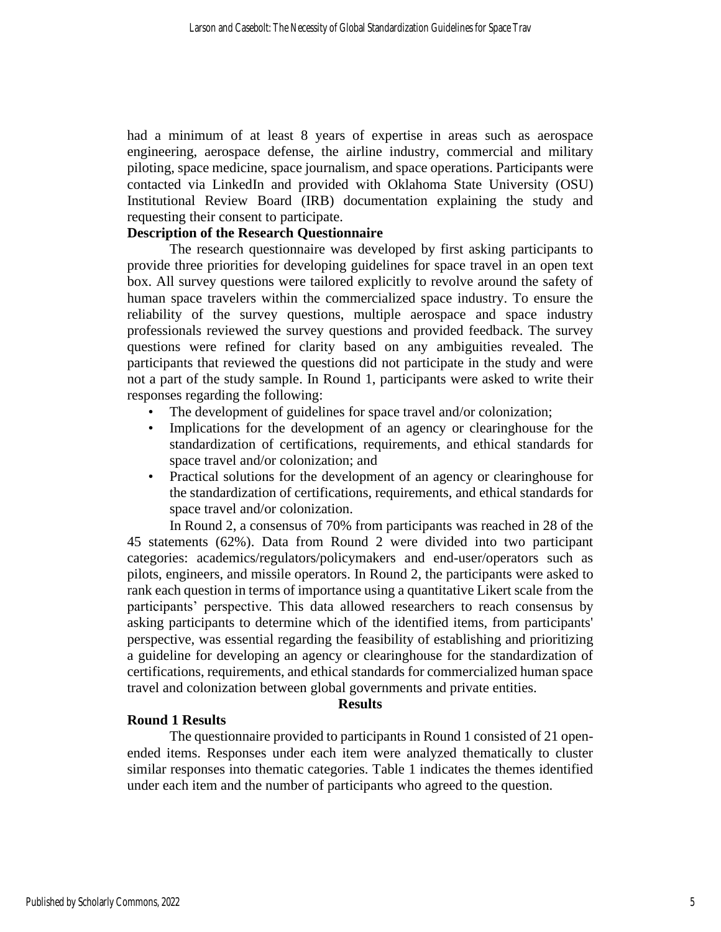had a minimum of at least 8 years of expertise in areas such as aerospace engineering, aerospace defense, the airline industry, commercial and military piloting, space medicine, space journalism, and space operations. Participants were contacted via LinkedIn and provided with Oklahoma State University (OSU) Institutional Review Board (IRB) documentation explaining the study and requesting their consent to participate.

# **Description of the Research Questionnaire**

The research questionnaire was developed by first asking participants to provide three priorities for developing guidelines for space travel in an open text box. All survey questions were tailored explicitly to revolve around the safety of human space travelers within the commercialized space industry. To ensure the reliability of the survey questions, multiple aerospace and space industry professionals reviewed the survey questions and provided feedback. The survey questions were refined for clarity based on any ambiguities revealed. The participants that reviewed the questions did not participate in the study and were not a part of the study sample. In Round 1, participants were asked to write their responses regarding the following:

- The development of guidelines for space travel and/or colonization;
- Implications for the development of an agency or clearinghouse for the standardization of certifications, requirements, and ethical standards for space travel and/or colonization; and
- Practical solutions for the development of an agency or clearinghouse for the standardization of certifications, requirements, and ethical standards for space travel and/or colonization.

In Round 2, a consensus of 70% from participants was reached in 28 of the 45 statements (62%). Data from Round 2 were divided into two participant categories: academics/regulators/policymakers and end-user/operators such as pilots, engineers, and missile operators. In Round 2, the participants were asked to rank each question in terms of importance using a quantitative Likert scale from the participants' perspective. This data allowed researchers to reach consensus by asking participants to determine which of the identified items, from participants' perspective, was essential regarding the feasibility of establishing and prioritizing a guideline for developing an agency or clearinghouse for the standardization of certifications, requirements, and ethical standards for commercialized human space travel and colonization between global governments and private entities.

#### **Results**

# **Round 1 Results**

The questionnaire provided to participants in Round 1 consisted of 21 openended items. Responses under each item were analyzed thematically to cluster similar responses into thematic categories. Table 1 indicates the themes identified under each item and the number of participants who agreed to the question.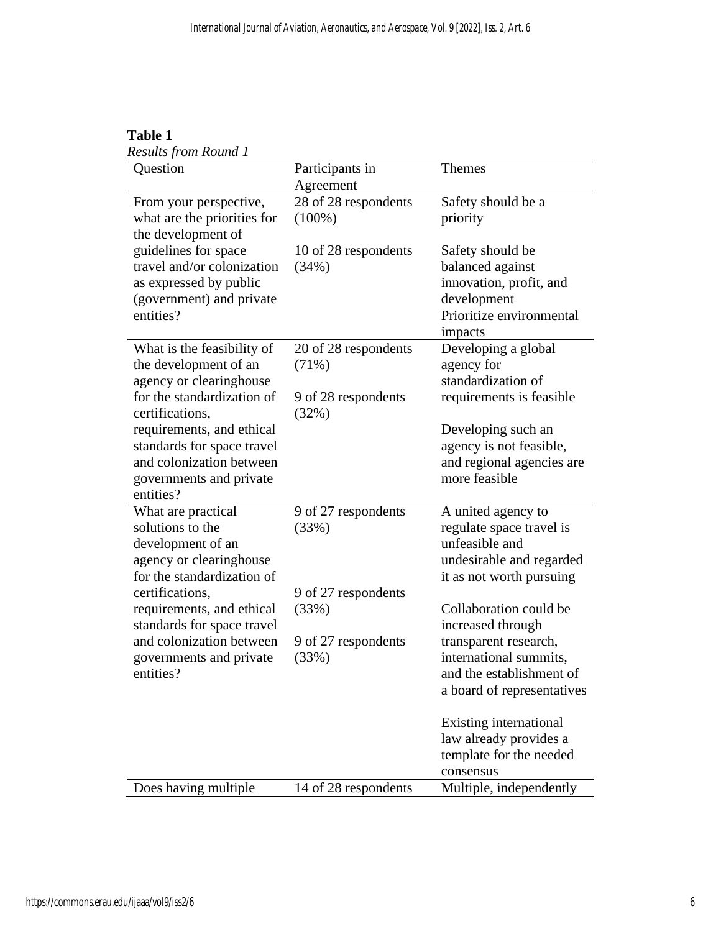| able |  |
|------|--|
|      |  |

*Results from Round 1* 

| Question                                                                                                                                                                                   | Participants in<br>Agreement                                  | <b>Themes</b>                                                                                                                                            |
|--------------------------------------------------------------------------------------------------------------------------------------------------------------------------------------------|---------------------------------------------------------------|----------------------------------------------------------------------------------------------------------------------------------------------------------|
| From your perspective,<br>what are the priorities for<br>the development of                                                                                                                | 28 of 28 respondents<br>$(100\%)$                             | Safety should be a<br>priority                                                                                                                           |
| guidelines for space<br>travel and/or colonization<br>as expressed by public<br>(government) and private<br>entities?                                                                      | 10 of 28 respondents<br>(34%)                                 | Safety should be<br>balanced against<br>innovation, profit, and<br>development<br>Prioritize environmental<br>impacts                                    |
| What is the feasibility of<br>the development of an<br>agency or clearinghouse<br>for the standardization of<br>certifications,<br>requirements, and ethical<br>standards for space travel | 20 of 28 respondents<br>(71%)<br>9 of 28 respondents<br>(32%) | Developing a global<br>agency for<br>standardization of<br>requirements is feasible<br>Developing such an<br>agency is not feasible,                     |
| and colonization between<br>governments and private<br>entities?                                                                                                                           |                                                               | and regional agencies are<br>more feasible                                                                                                               |
| What are practical<br>solutions to the<br>development of an<br>agency or clearinghouse<br>for the standardization of<br>certifications,                                                    | 9 of 27 respondents<br>(33%)<br>9 of 27 respondents           | A united agency to<br>regulate space travel is<br>unfeasible and<br>undesirable and regarded<br>it as not worth pursuing                                 |
| requirements, and ethical<br>standards for space travel<br>and colonization between<br>governments and private<br>entities?                                                                | (33%)<br>9 of 27 respondents<br>(33%)                         | Collaboration could be<br>increased through<br>transparent research,<br>international summits,<br>and the establishment of<br>a board of representatives |
|                                                                                                                                                                                            |                                                               | Existing international<br>law already provides a<br>template for the needed<br>consensus                                                                 |
| Does having multiple                                                                                                                                                                       | 14 of 28 respondents                                          | Multiple, independently                                                                                                                                  |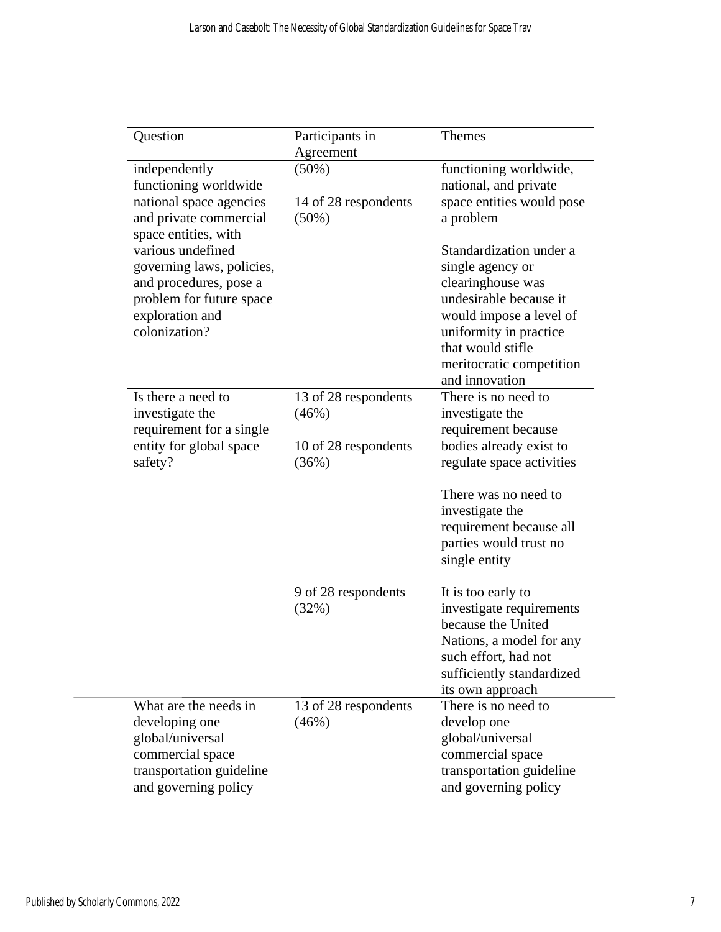| Question                                                                                                                                                         | Participants in                  | Themes                                                                                                                                                                                                             |
|------------------------------------------------------------------------------------------------------------------------------------------------------------------|----------------------------------|--------------------------------------------------------------------------------------------------------------------------------------------------------------------------------------------------------------------|
|                                                                                                                                                                  | Agreement                        |                                                                                                                                                                                                                    |
| independently<br>functioning worldwide                                                                                                                           | $(50\%)$                         | functioning worldwide,<br>national, and private                                                                                                                                                                    |
| national space agencies<br>and private commercial                                                                                                                | 14 of 28 respondents<br>$(50\%)$ | space entities would pose<br>a problem                                                                                                                                                                             |
| space entities, with<br>various undefined<br>governing laws, policies,<br>and procedures, pose a<br>problem for future space<br>exploration and<br>colonization? |                                  | Standardization under a<br>single agency or<br>clearinghouse was<br>undesirable because it<br>would impose a level of<br>uniformity in practice<br>that would stifle<br>meritocratic competition<br>and innovation |
| Is there a need to<br>investigate the<br>requirement for a single                                                                                                | 13 of 28 respondents<br>(46%)    | There is no need to<br>investigate the<br>requirement because                                                                                                                                                      |
| entity for global space<br>safety?                                                                                                                               | 10 of 28 respondents<br>(36%)    | bodies already exist to<br>regulate space activities                                                                                                                                                               |
|                                                                                                                                                                  |                                  | There was no need to<br>investigate the<br>requirement because all<br>parties would trust no<br>single entity                                                                                                      |
|                                                                                                                                                                  | 9 of 28 respondents<br>(32%)     | It is too early to<br>investigate requirements<br>because the United<br>Nations, a model for any<br>such effort, had not<br>sufficiently standardized<br>its own approach                                          |
| What are the needs in<br>developing one<br>global/universal<br>commercial space<br>transportation guideline<br>and governing policy                              | 13 of 28 respondents<br>(46%)    | There is no need to<br>develop one<br>global/universal<br>commercial space<br>transportation guideline<br>and governing policy                                                                                     |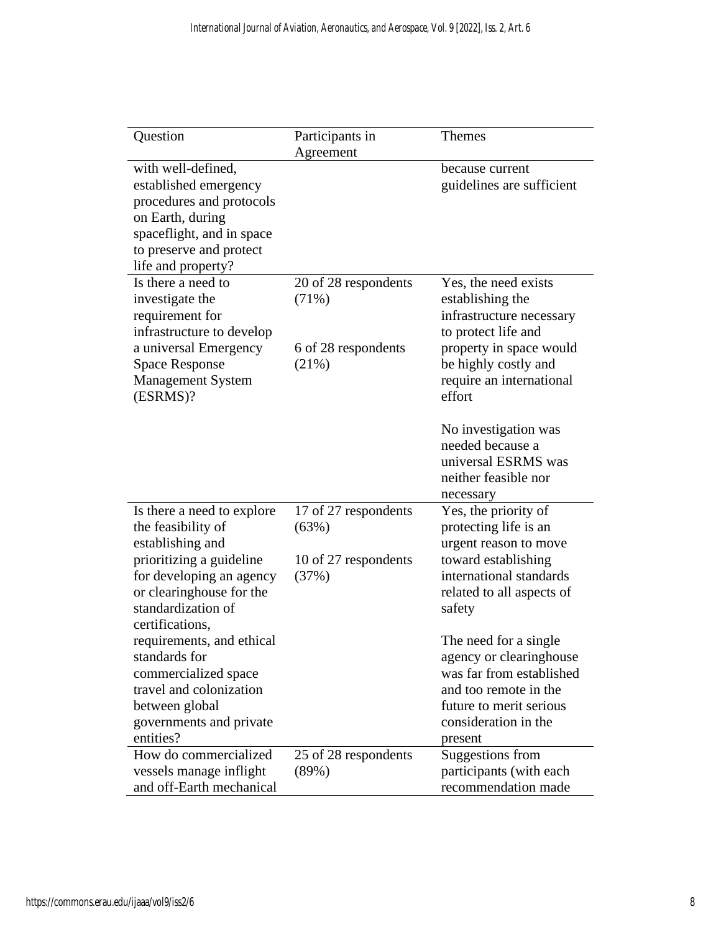| Question                                                                                                                                                                                          | Participants in<br>Agreement                                   | <b>Themes</b>                                                                                                                                                                        |
|---------------------------------------------------------------------------------------------------------------------------------------------------------------------------------------------------|----------------------------------------------------------------|--------------------------------------------------------------------------------------------------------------------------------------------------------------------------------------|
| with well-defined,<br>established emergency<br>procedures and protocols<br>on Earth, during<br>spaceflight, and in space<br>to preserve and protect<br>life and property?                         |                                                                | because current<br>guidelines are sufficient                                                                                                                                         |
| Is there a need to<br>investigate the<br>requirement for<br>infrastructure to develop<br>a universal Emergency<br><b>Space Response</b><br><b>Management System</b><br>(ESRMS)?                   | 20 of 28 respondents<br>(71%)<br>6 of 28 respondents<br>(21%)  | Yes, the need exists<br>establishing the<br>infrastructure necessary<br>to protect life and<br>property in space would<br>be highly costly and<br>require an international<br>effort |
|                                                                                                                                                                                                   |                                                                | No investigation was<br>needed because a<br>universal ESRMS was<br>neither feasible nor<br>necessary                                                                                 |
| Is there a need to explore<br>the feasibility of<br>establishing and<br>prioritizing a guideline<br>for developing an agency<br>or clearinghouse for the<br>standardization of<br>certifications, | 17 of 27 respondents<br>(63%)<br>10 of 27 respondents<br>(37%) | Yes, the priority of<br>protecting life is an<br>urgent reason to move<br>toward establishing<br>international standards<br>related to all aspects of<br>safety                      |
| requirements, and ethical<br>standards for<br>commercialized space<br>travel and colonization<br>between global<br>governments and private<br>entities?                                           |                                                                | The need for a single<br>agency or clearinghouse<br>was far from established<br>and too remote in the<br>future to merit serious<br>consideration in the<br>present                  |
| How do commercialized<br>vessels manage inflight<br>and off-Earth mechanical                                                                                                                      | 25 of 28 respondents<br>(89%)                                  | <b>Suggestions from</b><br>participants (with each<br>recommendation made                                                                                                            |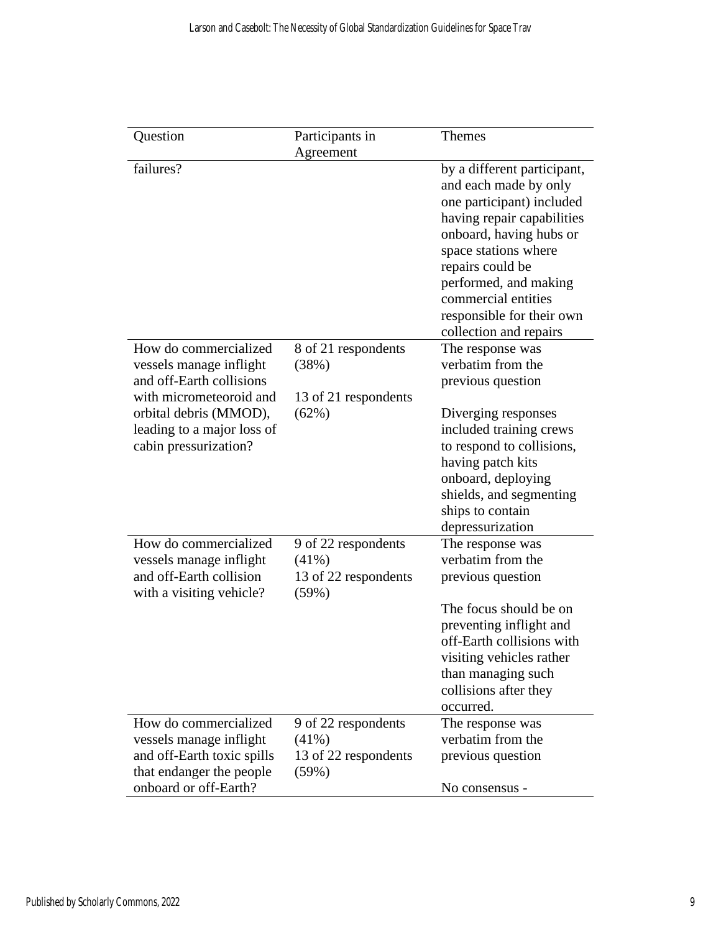| Question                   | Participants in      | <b>Themes</b>               |
|----------------------------|----------------------|-----------------------------|
|                            | Agreement            |                             |
| failures?                  |                      | by a different participant, |
|                            |                      | and each made by only       |
|                            |                      | one participant) included   |
|                            |                      | having repair capabilities  |
|                            |                      | onboard, having hubs or     |
|                            |                      | space stations where        |
|                            |                      | repairs could be            |
|                            |                      | performed, and making       |
|                            |                      | commercial entities         |
|                            |                      | responsible for their own   |
|                            |                      | collection and repairs      |
| How do commercialized      | 8 of 21 respondents  | The response was            |
| vessels manage inflight    | (38%)                | verbatim from the           |
| and off-Earth collisions   |                      | previous question           |
| with micrometeoroid and    | 13 of 21 respondents |                             |
| orbital debris (MMOD),     | (62%)                | Diverging responses         |
| leading to a major loss of |                      | included training crews     |
| cabin pressurization?      |                      | to respond to collisions,   |
|                            |                      | having patch kits           |
|                            |                      | onboard, deploying          |
|                            |                      | shields, and segmenting     |
|                            |                      | ships to contain            |
|                            |                      | depressurization            |
| How do commercialized      | 9 of 22 respondents  | The response was            |
| vessels manage inflight    | $(41\%)$             | verbatim from the           |
| and off-Earth collision    | 13 of 22 respondents | previous question           |
| with a visiting vehicle?   | (59%)                | The focus should be on      |
|                            |                      | preventing inflight and     |
|                            |                      | off-Earth collisions with   |
|                            |                      | visiting vehicles rather    |
|                            |                      | than managing such          |
|                            |                      | collisions after they       |
|                            |                      | occurred.                   |
| How do commercialized      | 9 of 22 respondents  | The response was            |
| vessels manage inflight    | $(41\%)$             | verbatim from the           |
| and off-Earth toxic spills | 13 of 22 respondents | previous question           |
| that endanger the people   | $(59\%)$             |                             |
| onboard or off-Earth?      |                      | No consensus -              |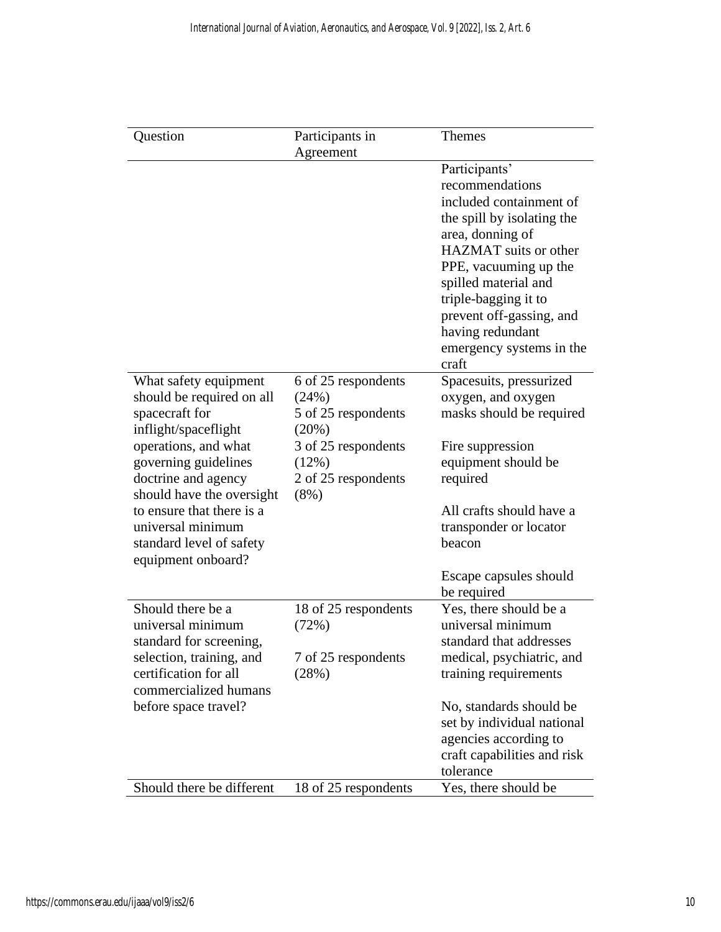| Question                  | Participants in      | <b>Themes</b>               |
|---------------------------|----------------------|-----------------------------|
|                           | Agreement            |                             |
|                           |                      | Participants'               |
|                           |                      | recommendations             |
|                           |                      | included containment of     |
|                           |                      | the spill by isolating the  |
|                           |                      | area, donning of            |
|                           |                      | HAZMAT suits or other       |
|                           |                      | PPE, vacuuming up the       |
|                           |                      | spilled material and        |
|                           |                      | triple-bagging it to        |
|                           |                      | prevent off-gassing, and    |
|                           |                      | having redundant            |
|                           |                      | emergency systems in the    |
|                           |                      | craft                       |
| What safety equipment     | 6 of 25 respondents  | Spacesuits, pressurized     |
| should be required on all | (24%)                | oxygen, and oxygen          |
| spacecraft for            | 5 of 25 respondents  | masks should be required    |
| inflight/spaceflight      | (20%)                |                             |
| operations, and what      | 3 of 25 respondents  | Fire suppression            |
| governing guidelines      | (12%)                | equipment should be         |
| doctrine and agency       | 2 of 25 respondents  | required                    |
| should have the oversight | $(8\%)$              |                             |
| to ensure that there is a |                      | All crafts should have a    |
| universal minimum         |                      | transponder or locator      |
| standard level of safety  |                      | beacon                      |
| equipment onboard?        |                      |                             |
|                           |                      | Escape capsules should      |
|                           |                      | be required                 |
| Should there be a         | 18 of 25 respondents | Yes, there should be a      |
| universal minimum         | (72%)                | universal minimum           |
| standard for screening,   |                      | standard that addresses     |
| selection, training, and  | 7 of 25 respondents  | medical, psychiatric, and   |
| certification for all     | (28%)                | training requirements       |
| commercialized humans     |                      |                             |
| before space travel?      |                      | No, standards should be     |
|                           |                      | set by individual national  |
|                           |                      | agencies according to       |
|                           |                      | craft capabilities and risk |
|                           |                      | tolerance                   |
| Should there be different | 18 of 25 respondents | Yes, there should be        |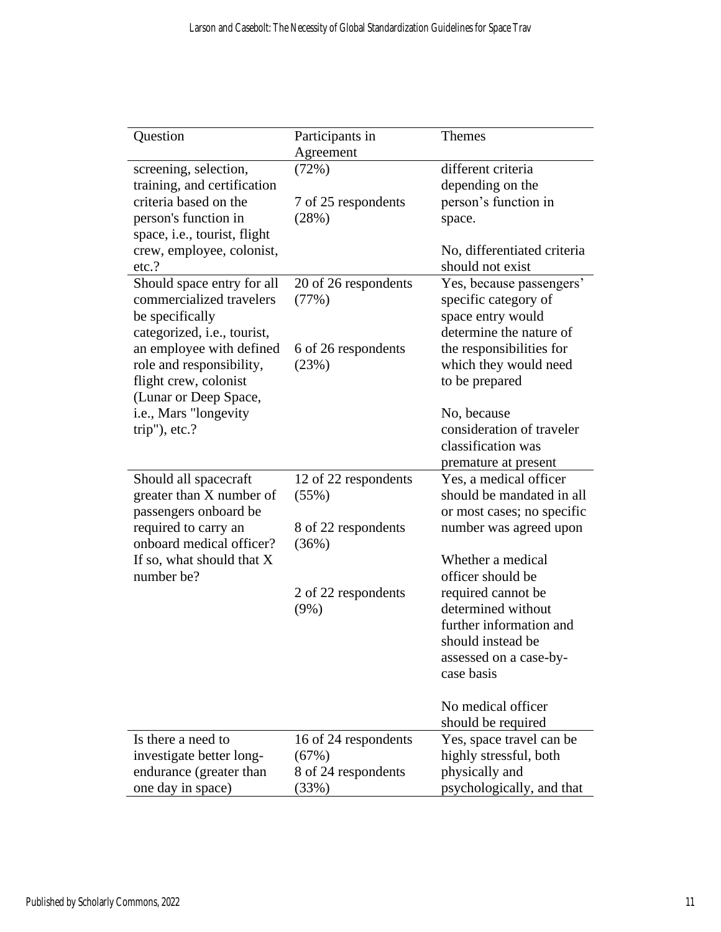| Question                     | Participants in      | <b>Themes</b>               |
|------------------------------|----------------------|-----------------------------|
|                              | Agreement            |                             |
| screening, selection,        | (72%)                | different criteria          |
| training, and certification  |                      | depending on the            |
| criteria based on the        | 7 of 25 respondents  | person's function in        |
| person's function in         | (28%)                | space.                      |
| space, i.e., tourist, flight |                      |                             |
| crew, employee, colonist,    |                      | No, differentiated criteria |
| etc.?                        |                      | should not exist            |
| Should space entry for all   | 20 of 26 respondents | Yes, because passengers'    |
| commercialized travelers     | (77%)                | specific category of        |
| be specifically              |                      | space entry would           |
| categorized, i.e., tourist,  |                      | determine the nature of     |
| an employee with defined     | 6 of 26 respondents  | the responsibilities for    |
| role and responsibility,     | (23%)                | which they would need       |
| flight crew, colonist        |                      | to be prepared              |
| (Lunar or Deep Space,        |                      |                             |
| i.e., Mars "longevity        |                      | No, because                 |
| $trip$ "), etc.?             |                      | consideration of traveler   |
|                              |                      | classification was          |
|                              |                      | premature at present        |
| Should all spacecraft        | 12 of 22 respondents | Yes, a medical officer      |
| greater than X number of     | (55%)                | should be mandated in all   |
| passengers onboard be        |                      | or most cases; no specific  |
| required to carry an         | 8 of 22 respondents  | number was agreed upon      |
| onboard medical officer?     | (36%)                |                             |
| If so, what should that X    |                      | Whether a medical           |
| number be?                   |                      | officer should be           |
|                              | 2 of 22 respondents  | required cannot be          |
|                              | $(9\%)$              | determined without          |
|                              |                      | further information and     |
|                              |                      | should instead be           |
|                              |                      | assessed on a case-by-      |
|                              |                      | case basis                  |
|                              |                      |                             |
|                              |                      | No medical officer          |
|                              |                      | should be required          |
| Is there a need to           | 16 of 24 respondents | Yes, space travel can be    |
| investigate better long-     | (67%)                | highly stressful, both      |
| endurance (greater than      | 8 of 24 respondents  | physically and              |
| one day in space)            | (33%)                | psychologically, and that   |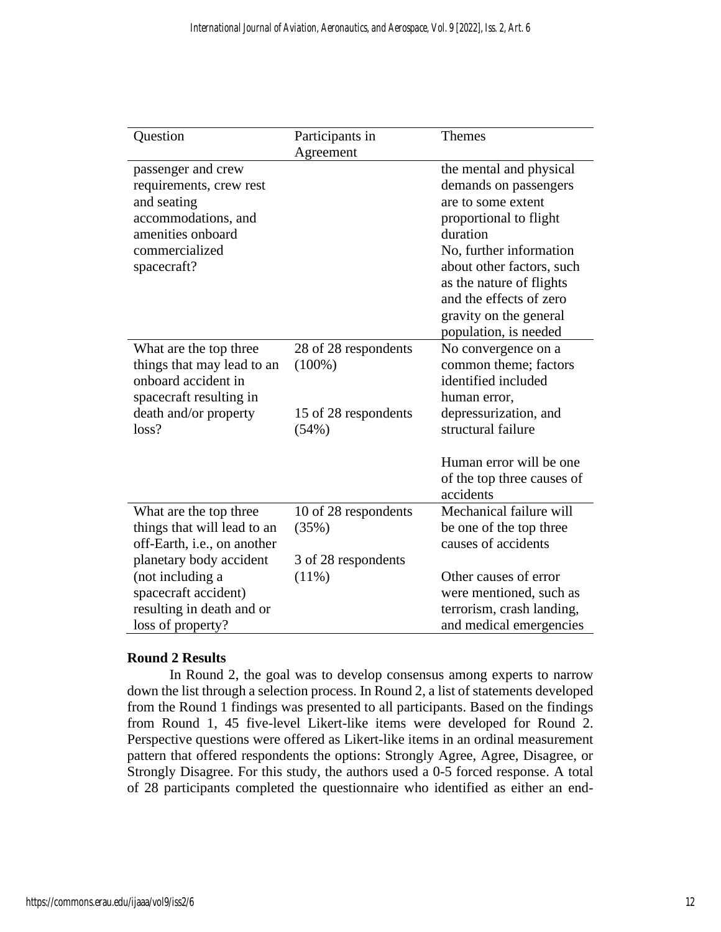| Question                                                                                                                                  | Participants in                                                    | <b>Themes</b>                                                                                                                                                                                                                                                                  |
|-------------------------------------------------------------------------------------------------------------------------------------------|--------------------------------------------------------------------|--------------------------------------------------------------------------------------------------------------------------------------------------------------------------------------------------------------------------------------------------------------------------------|
|                                                                                                                                           | Agreement                                                          |                                                                                                                                                                                                                                                                                |
| passenger and crew<br>requirements, crew rest<br>and seating<br>accommodations, and<br>amenities onboard<br>commercialized<br>spacecraft? |                                                                    | the mental and physical<br>demands on passengers<br>are to some extent<br>proportional to flight<br>duration<br>No, further information<br>about other factors, such<br>as the nature of flights<br>and the effects of zero<br>gravity on the general<br>population, is needed |
| What are the top three<br>things that may lead to an<br>onboard accident in<br>spacecraft resulting in<br>death and/or property<br>loss?  | 28 of 28 respondents<br>$(100\%)$<br>15 of 28 respondents<br>(54%) | No convergence on a<br>common theme; factors<br>identified included<br>human error,<br>depressurization, and<br>structural failure                                                                                                                                             |
|                                                                                                                                           |                                                                    | Human error will be one<br>of the top three causes of<br>accidents                                                                                                                                                                                                             |
| What are the top three                                                                                                                    | 10 of 28 respondents                                               | Mechanical failure will                                                                                                                                                                                                                                                        |
| things that will lead to an                                                                                                               | (35%)                                                              | be one of the top three                                                                                                                                                                                                                                                        |
| off-Earth, i.e., on another                                                                                                               |                                                                    | causes of accidents                                                                                                                                                                                                                                                            |
| planetary body accident                                                                                                                   | 3 of 28 respondents                                                |                                                                                                                                                                                                                                                                                |
| (not including a                                                                                                                          | $(11\%)$                                                           | Other causes of error                                                                                                                                                                                                                                                          |
| spacecraft accident)                                                                                                                      |                                                                    | were mentioned, such as                                                                                                                                                                                                                                                        |
| resulting in death and or<br>loss of property?                                                                                            |                                                                    | terrorism, crash landing,<br>and medical emergencies                                                                                                                                                                                                                           |
|                                                                                                                                           |                                                                    |                                                                                                                                                                                                                                                                                |

# **Round 2 Results**

In Round 2, the goal was to develop consensus among experts to narrow down the list through a selection process. In Round 2, a list of statements developed from the Round 1 findings was presented to all participants. Based on the findings from Round 1, 45 five-level Likert-like items were developed for Round 2. Perspective questions were offered as Likert-like items in an ordinal measurement pattern that offered respondents the options: Strongly Agree, Agree, Disagree, or Strongly Disagree. For this study, the authors used a 0-5 forced response. A total of 28 participants completed the questionnaire who identified as either an end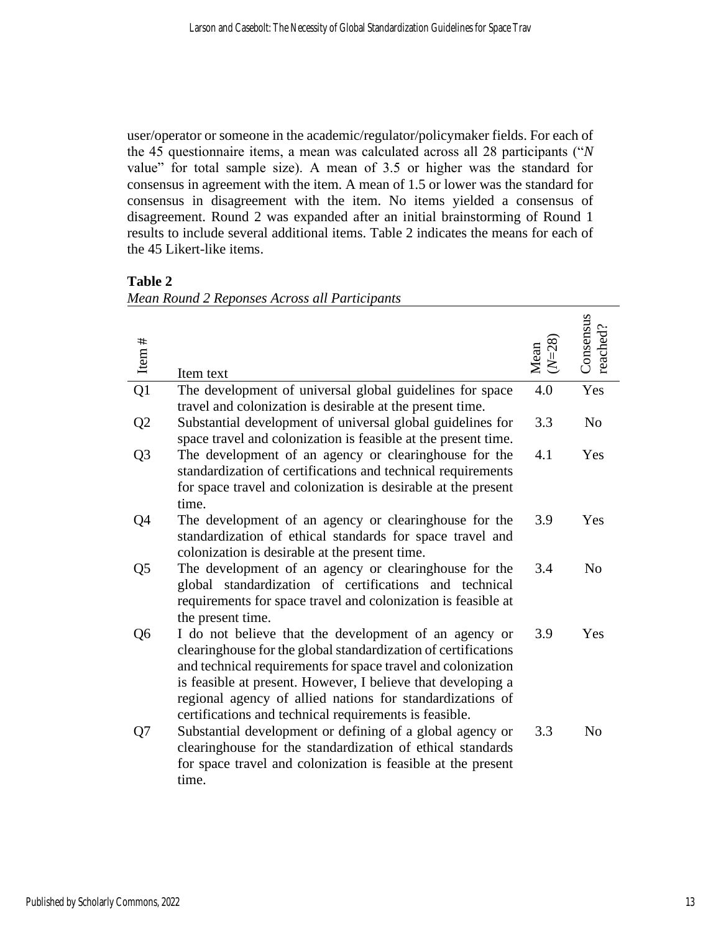user/operator or someone in the academic/regulator/policymaker fields. For each of the 45 questionnaire items, a mean was calculated across all 28 participants ("*N* value" for total sample size). A mean of 3.5 or higher was the standard for consensus in agreement with the item. A mean of 1.5 or lower was the standard for consensus in disagreement with the item. No items yielded a consensus of disagreement. Round 2 was expanded after an initial brainstorming of Round 1 results to include several additional items. Table 2 indicates the means for each of the 45 Likert-like items.

| ۱Ŋ۱<br>٦ι<br>я |  |
|----------------|--|
|----------------|--|

|--|

| Item $#$        | Item text                                                                                                                                                                                                                                                                                                                                                                      | $(N=28)$<br>Mean | Consensus<br>reached? |
|-----------------|--------------------------------------------------------------------------------------------------------------------------------------------------------------------------------------------------------------------------------------------------------------------------------------------------------------------------------------------------------------------------------|------------------|-----------------------|
| $\overline{Q1}$ | The development of universal global guidelines for space<br>travel and colonization is desirable at the present time.                                                                                                                                                                                                                                                          | 4.0              | Yes                   |
| Q <sub>2</sub>  | Substantial development of universal global guidelines for<br>space travel and colonization is feasible at the present time.                                                                                                                                                                                                                                                   | 3.3              | N <sub>0</sub>        |
| Q <sub>3</sub>  | The development of an agency or clearinghouse for the<br>standardization of certifications and technical requirements<br>for space travel and colonization is desirable at the present<br>time.                                                                                                                                                                                | 4.1              | Yes                   |
| Q4              | The development of an agency or clearinghouse for the<br>standardization of ethical standards for space travel and<br>colonization is desirable at the present time.                                                                                                                                                                                                           | 3.9              | Yes                   |
| Q <sub>5</sub>  | The development of an agency or clearinghouse for the<br>global standardization of certifications and technical<br>requirements for space travel and colonization is feasible at<br>the present time.                                                                                                                                                                          | 3.4              | N <sub>o</sub>        |
| Q <sub>6</sub>  | I do not believe that the development of an agency or<br>clearinghouse for the global standardization of certifications<br>and technical requirements for space travel and colonization<br>is feasible at present. However, I believe that developing a<br>regional agency of allied nations for standardizations of<br>certifications and technical requirements is feasible. | 3.9              | Yes                   |
| Q7              | Substantial development or defining of a global agency or<br>clearinghouse for the standardization of ethical standards<br>for space travel and colonization is feasible at the present<br>time.                                                                                                                                                                               | 3.3              | N <sub>0</sub>        |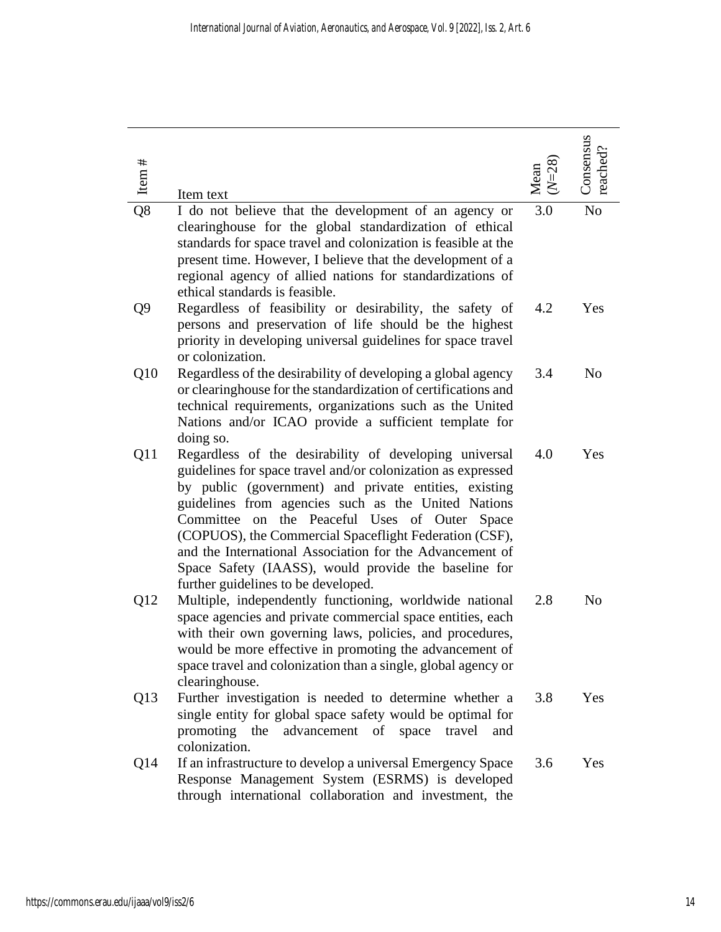| Item $#$ | Item text                                                                                                                                                                                                                                                                                                                                                                                                                                                                                                          | $(N=28)$<br>Mean | Consensus<br>reached? |
|----------|--------------------------------------------------------------------------------------------------------------------------------------------------------------------------------------------------------------------------------------------------------------------------------------------------------------------------------------------------------------------------------------------------------------------------------------------------------------------------------------------------------------------|------------------|-----------------------|
| Q8       | I do not believe that the development of an agency or<br>clearinghouse for the global standardization of ethical<br>standards for space travel and colonization is feasible at the<br>present time. However, I believe that the development of a<br>regional agency of allied nations for standardizations of<br>ethical standards is feasible.                                                                                                                                                                    | 3.0              | N <sub>o</sub>        |
| Q9       | Regardless of feasibility or desirability, the safety of<br>persons and preservation of life should be the highest<br>priority in developing universal guidelines for space travel<br>or colonization.                                                                                                                                                                                                                                                                                                             | 4.2              | Yes                   |
| Q10      | Regardless of the desirability of developing a global agency<br>or clearinghouse for the standardization of certifications and<br>technical requirements, organizations such as the United<br>Nations and/or ICAO provide a sufficient template for<br>doing so.                                                                                                                                                                                                                                                   | 3.4              | N <sub>o</sub>        |
| Q11      | Regardless of the desirability of developing universal<br>guidelines for space travel and/or colonization as expressed<br>by public (government) and private entities, existing<br>guidelines from agencies such as the United Nations<br>Committee<br>the Peaceful Uses of Outer Space<br>on<br>(COPUOS), the Commercial Spaceflight Federation (CSF),<br>and the International Association for the Advancement of<br>Space Safety (IAASS), would provide the baseline for<br>further guidelines to be developed. | 4.0              | Yes                   |
| Q12      | Multiple, independently functioning, worldwide national<br>space agencies and private commercial space entities, each<br>with their own governing laws, policies, and procedures,<br>would be more effective in promoting the advancement of<br>space travel and colonization than a single, global agency or<br>clearinghouse.                                                                                                                                                                                    | 2.8              | N <sub>o</sub>        |
| Q13      | Further investigation is needed to determine whether a<br>single entity for global space safety would be optimal for<br>advancement of space travel and<br>promoting the<br>colonization.                                                                                                                                                                                                                                                                                                                          | 3.8              | Yes                   |
| Q14      | If an infrastructure to develop a universal Emergency Space<br>Response Management System (ESRMS) is developed<br>through international collaboration and investment, the                                                                                                                                                                                                                                                                                                                                          | 3.6              | Yes                   |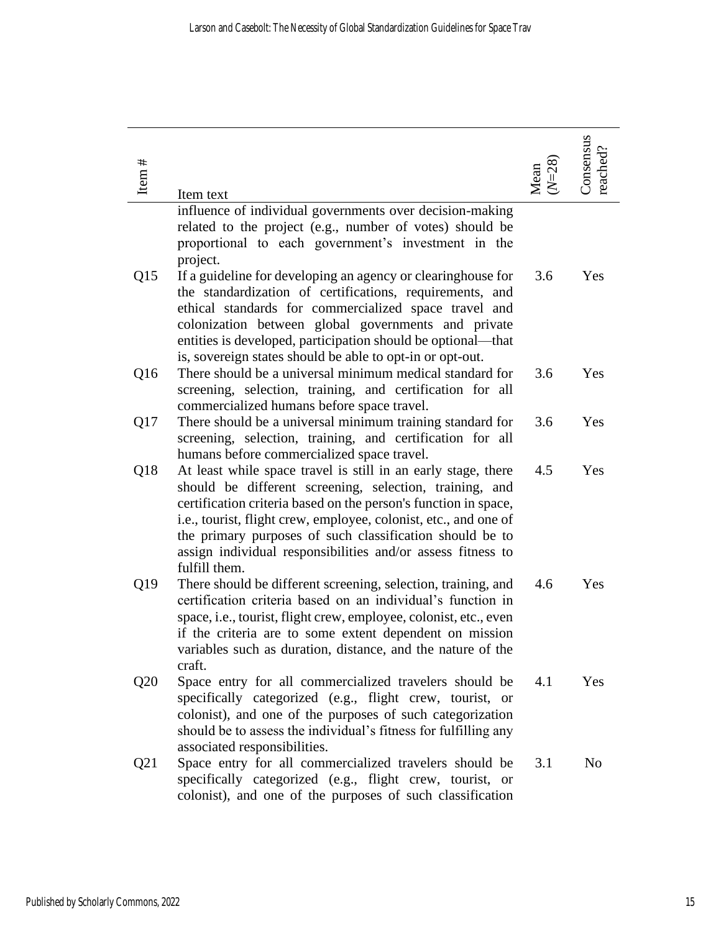| Item $#$        | Item text                                                                                                                                                                                                                                                                                                                                                                                                   | $(N=28)$<br>Mean | Consensus<br>reached? |
|-----------------|-------------------------------------------------------------------------------------------------------------------------------------------------------------------------------------------------------------------------------------------------------------------------------------------------------------------------------------------------------------------------------------------------------------|------------------|-----------------------|
|                 | influence of individual governments over decision-making<br>related to the project (e.g., number of votes) should be<br>proportional to each government's investment in the<br>project.                                                                                                                                                                                                                     |                  |                       |
| Q15             | If a guideline for developing an agency or clearinghouse for<br>the standardization of certifications, requirements, and<br>ethical standards for commercialized space travel and<br>colonization between global governments and private<br>entities is developed, participation should be optional—that<br>is, sovereign states should be able to opt-in or opt-out.                                       | 3.6              | Yes                   |
| Q <sub>16</sub> | There should be a universal minimum medical standard for<br>screening, selection, training, and certification for all<br>commercialized humans before space travel.                                                                                                                                                                                                                                         | 3.6              | Yes                   |
| Q17             | There should be a universal minimum training standard for<br>screening, selection, training, and certification for all<br>humans before commercialized space travel.                                                                                                                                                                                                                                        | 3.6              | Yes                   |
| Q18             | At least while space travel is still in an early stage, there<br>should be different screening, selection, training, and<br>certification criteria based on the person's function in space,<br>i.e., tourist, flight crew, employee, colonist, etc., and one of<br>the primary purposes of such classification should be to<br>assign individual responsibilities and/or assess fitness to<br>fulfill them. | 4.5              | Yes                   |
| Q19             | There should be different screening, selection, training, and<br>certification criteria based on an individual's function in<br>space, i.e., tourist, flight crew, employee, colonist, etc., even<br>if the criteria are to some extent dependent on mission<br>variables such as duration, distance, and the nature of the<br>craft.                                                                       | 4.6              | Yes                   |
| Q20             | Space entry for all commercialized travelers should be<br>specifically categorized (e.g., flight crew, tourist, or<br>colonist), and one of the purposes of such categorization<br>should be to assess the individual's fitness for fulfilling any<br>associated responsibilities.                                                                                                                          | 4.1              | Yes                   |
| Q21             | Space entry for all commercialized travelers should be<br>specifically categorized (e.g., flight crew, tourist, or<br>colonist), and one of the purposes of such classification                                                                                                                                                                                                                             | 3.1              | N <sub>0</sub>        |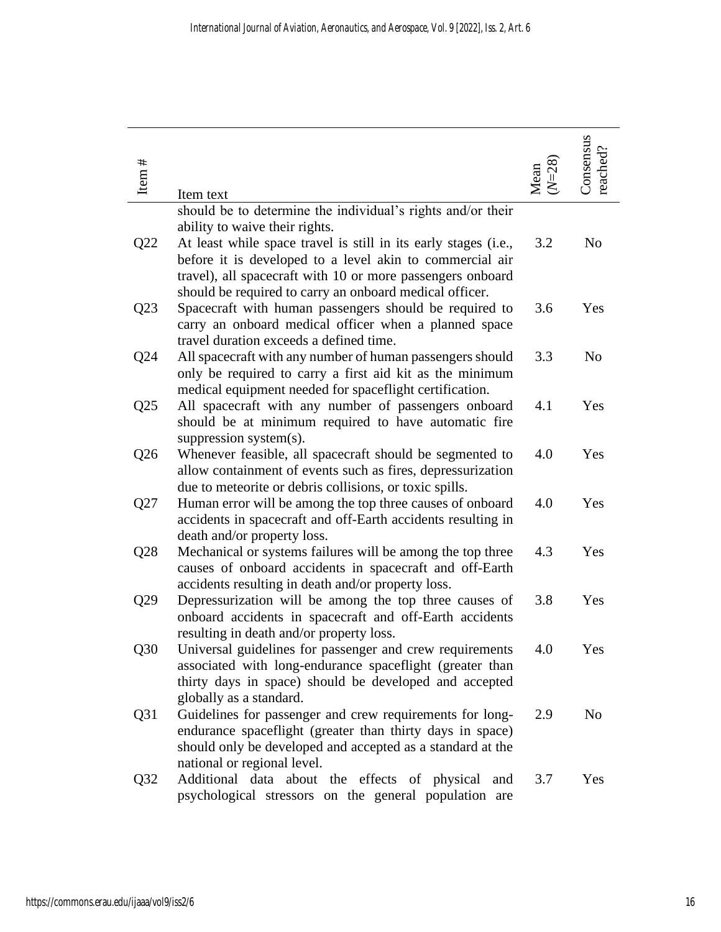| Item $#$ | Item text                                                                                                                                                                                                                   | Mean | Consensus<br>reached? |
|----------|-----------------------------------------------------------------------------------------------------------------------------------------------------------------------------------------------------------------------------|------|-----------------------|
|          | should be to determine the individual's rights and/or their                                                                                                                                                                 |      |                       |
| Q22      | ability to waive their rights.<br>At least while space travel is still in its early stages (i.e.,<br>before it is developed to a level akin to commercial air<br>travel), all spacecraft with 10 or more passengers onboard | 3.2  | N <sub>o</sub>        |
|          | should be required to carry an onboard medical officer.                                                                                                                                                                     |      |                       |
| Q23      | Spacecraft with human passengers should be required to<br>carry an onboard medical officer when a planned space<br>travel duration exceeds a defined time.                                                                  | 3.6  | Yes                   |
| Q24      | All spacecraft with any number of human passengers should<br>only be required to carry a first aid kit as the minimum                                                                                                       | 3.3  | N <sub>o</sub>        |
| Q25      | medical equipment needed for spaceflight certification.<br>All spacecraft with any number of passengers onboard<br>should be at minimum required to have automatic fire                                                     | 4.1  | Yes                   |
|          | suppression system(s).                                                                                                                                                                                                      |      |                       |
| Q26      | Whenever feasible, all spacecraft should be segmented to<br>allow containment of events such as fires, depressurization                                                                                                     | 4.0  | Yes                   |
| Q27      | due to meteorite or debris collisions, or toxic spills.<br>Human error will be among the top three causes of onboard<br>accidents in spacecraft and off-Earth accidents resulting in                                        | 4.0  | Yes                   |
| Q28      | death and/or property loss.<br>Mechanical or systems failures will be among the top three<br>causes of onboard accidents in spacecraft and off-Earth                                                                        | 4.3  | Yes                   |
| Q29      | accidents resulting in death and/or property loss.<br>Depressurization will be among the top three causes of<br>onboard accidents in spacecraft and off-Earth accidents                                                     | 3.8  | Yes                   |
| Q30      | resulting in death and/or property loss.<br>Universal guidelines for passenger and crew requirements<br>associated with long-endurance spaceflight (greater than<br>thirty days in space) should be developed and accepted  | 4.0  | Yes                   |
| Q31      | globally as a standard.<br>Guidelines for passenger and crew requirements for long-<br>endurance spaceflight (greater than thirty days in space)<br>should only be developed and accepted as a standard at the              | 2.9  | N <sub>0</sub>        |
| Q32      | national or regional level.<br>Additional data about the effects of physical<br>and<br>psychological stressors on the general population are                                                                                | 3.7  | Yes                   |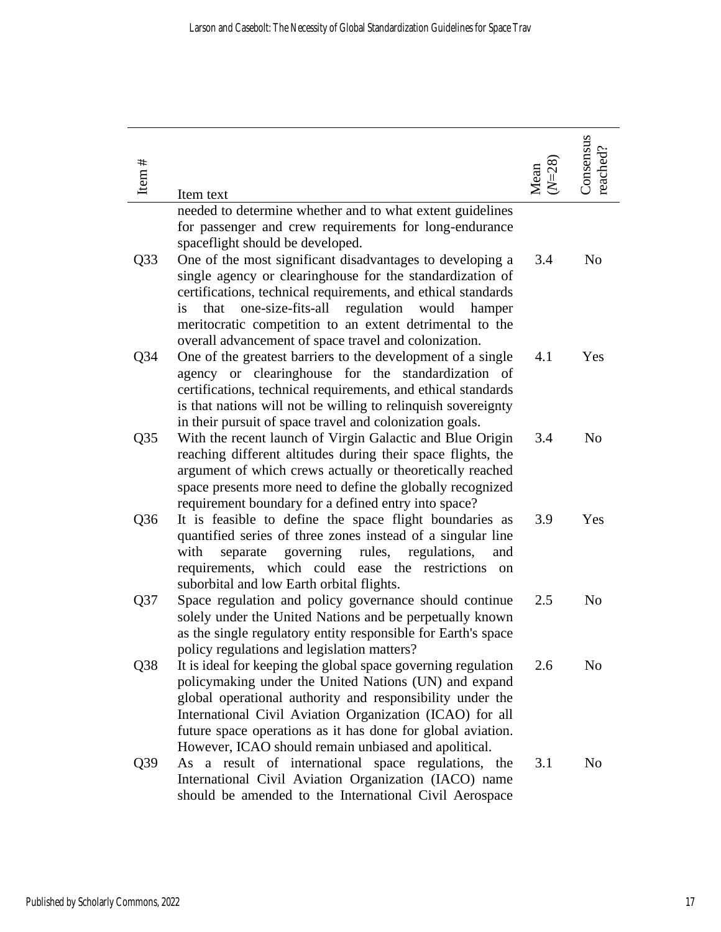| Item $#$        | Item text                                                                                                                                                                                                                                                                                                                                                                | $(N=28)$<br>Mean | Consensus<br>reached? |
|-----------------|--------------------------------------------------------------------------------------------------------------------------------------------------------------------------------------------------------------------------------------------------------------------------------------------------------------------------------------------------------------------------|------------------|-----------------------|
|                 | needed to determine whether and to what extent guidelines<br>for passenger and crew requirements for long-endurance<br>spaceflight should be developed.                                                                                                                                                                                                                  |                  |                       |
| Q33             | One of the most significant disadvantages to developing a<br>single agency or clearinghouse for the standardization of<br>certifications, technical requirements, and ethical standards<br>one-size-fits-all regulation<br>would<br>that<br>hamper<br><i>is</i><br>meritocratic competition to an extent detrimental to the                                              | 3.4              | N <sub>o</sub>        |
| Q34             | overall advancement of space travel and colonization.<br>One of the greatest barriers to the development of a single<br>agency or clearinghouse for the standardization of<br>certifications, technical requirements, and ethical standards<br>is that nations will not be willing to relinquish sovereignty<br>in their pursuit of space travel and colonization goals. | 4.1              | Yes                   |
| Q <sub>35</sub> | With the recent launch of Virgin Galactic and Blue Origin<br>reaching different altitudes during their space flights, the<br>argument of which crews actually or theoretically reached<br>space presents more need to define the globally recognized<br>requirement boundary for a defined entry into space?                                                             | 3.4              | N <sub>0</sub>        |
| Q36             | It is feasible to define the space flight boundaries as<br>quantified series of three zones instead of a singular line<br>with<br>governing<br>rules,<br>regulations,<br>separate<br>and<br>requirements, which could ease the restrictions<br><sub>on</sub><br>suborbital and low Earth orbital flights.                                                                | 3.9              | Yes                   |
| Q <sub>37</sub> | Space regulation and policy governance should continue<br>solely under the United Nations and be perpetually known<br>as the single regulatory entity responsible for Earth's space<br>policy regulations and legislation matters?                                                                                                                                       | 2.5              | No                    |
| Q38             | It is ideal for keeping the global space governing regulation<br>policymaking under the United Nations (UN) and expand<br>global operational authority and responsibility under the<br>International Civil Aviation Organization (ICAO) for all<br>future space operations as it has done for global aviation.<br>However, ICAO should remain unbiased and apolitical.   | 2.6              | N <sub>o</sub>        |
| Q39             | As a result of international space regulations, the<br>International Civil Aviation Organization (IACO) name<br>should be amended to the International Civil Aerospace                                                                                                                                                                                                   | 3.1              | No                    |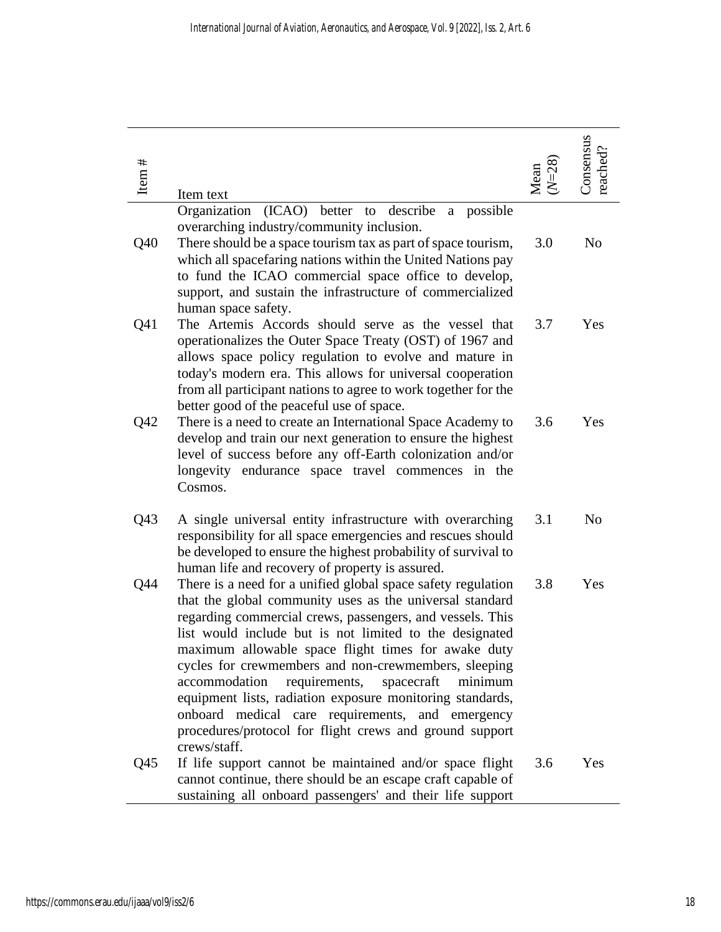| Item $#$ | Item text                                                                                                                                                                                                                                                                                                                                                                                                                                                                                                                                                                                                           | Mean | Consensus<br>reached? |
|----------|---------------------------------------------------------------------------------------------------------------------------------------------------------------------------------------------------------------------------------------------------------------------------------------------------------------------------------------------------------------------------------------------------------------------------------------------------------------------------------------------------------------------------------------------------------------------------------------------------------------------|------|-----------------------|
| Q40      | (ICAO) better to<br>describe<br>Organization<br>possible<br>a<br>overarching industry/community inclusion.<br>There should be a space tourism tax as part of space tourism,<br>which all spacefaring nations within the United Nations pay<br>to fund the ICAO commercial space office to develop,<br>support, and sustain the infrastructure of commercialized<br>human space safety.                                                                                                                                                                                                                              | 3.0  | N <sub>o</sub>        |
| Q41      | The Artemis Accords should serve as the vessel that<br>operationalizes the Outer Space Treaty (OST) of 1967 and<br>allows space policy regulation to evolve and mature in<br>today's modern era. This allows for universal cooperation<br>from all participant nations to agree to work together for the<br>better good of the peaceful use of space.                                                                                                                                                                                                                                                               | 3.7  | Yes                   |
| Q42      | There is a need to create an International Space Academy to<br>develop and train our next generation to ensure the highest<br>level of success before any off-Earth colonization and/or<br>longevity endurance space travel commences in the<br>Cosmos.                                                                                                                                                                                                                                                                                                                                                             | 3.6  | Yes                   |
| Q43      | A single universal entity infrastructure with overarching<br>responsibility for all space emergencies and rescues should<br>be developed to ensure the highest probability of survival to<br>human life and recovery of property is assured.                                                                                                                                                                                                                                                                                                                                                                        | 3.1  | N <sub>o</sub>        |
| Q44      | There is a need for a unified global space safety regulation<br>that the global community uses as the universal standard<br>regarding commercial crews, passengers, and vessels. This<br>list would include but is not limited to the designated<br>maximum allowable space flight times for awake duty<br>cycles for crewmembers and non-crewmembers, sleeping<br>requirements, spacecraft<br>accommodation<br>minimum<br>equipment lists, radiation exposure monitoring standards,<br>onboard medical care requirements, and emergency<br>procedures/protocol for flight crews and ground support<br>crews/staff. | 3.8  | Yes                   |
| Q45      | If life support cannot be maintained and/or space flight<br>cannot continue, there should be an escape craft capable of<br>sustaining all onboard passengers' and their life support                                                                                                                                                                                                                                                                                                                                                                                                                                | 3.6  | Yes                   |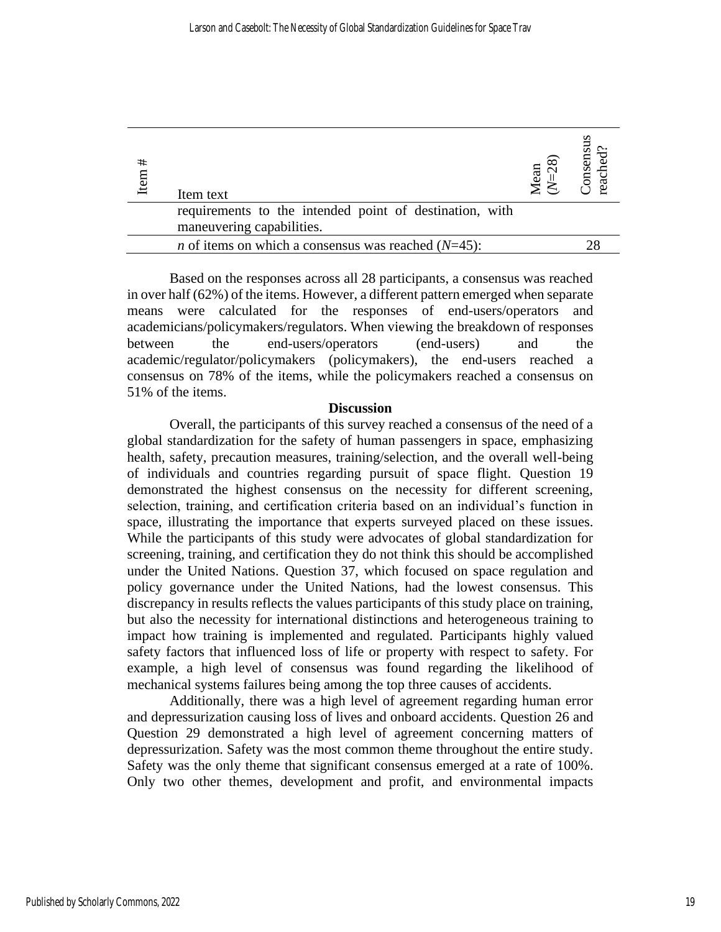| #<br>Item | Item text                                                     | $\approx$<br>lean | Consensus<br>reached? |
|-----------|---------------------------------------------------------------|-------------------|-----------------------|
|           | requirements to the intended point of destination, with       |                   |                       |
|           | maneuvering capabilities.                                     |                   |                       |
|           | <i>n</i> of items on which a consensus was reached $(N=45)$ : |                   |                       |
|           |                                                               |                   |                       |

Based on the responses across all 28 participants, a consensus was reached in over half (62%) of the items. However, a different pattern emerged when separate means were calculated for the responses of end-users/operators and academicians/policymakers/regulators. When viewing the breakdown of responses between the end-users/operators (end-users) and the academic/regulator/policymakers (policymakers), the end-users reached a consensus on 78% of the items, while the policymakers reached a consensus on 51% of the items.

## **Discussion**

Overall, the participants of this survey reached a consensus of the need of a global standardization for the safety of human passengers in space, emphasizing health, safety, precaution measures, training/selection, and the overall well-being of individuals and countries regarding pursuit of space flight. Question 19 demonstrated the highest consensus on the necessity for different screening, selection, training, and certification criteria based on an individual's function in space, illustrating the importance that experts surveyed placed on these issues. While the participants of this study were advocates of global standardization for screening, training, and certification they do not think this should be accomplished under the United Nations. Question 37, which focused on space regulation and policy governance under the United Nations, had the lowest consensus. This discrepancy in results reflects the values participants of this study place on training, but also the necessity for international distinctions and heterogeneous training to impact how training is implemented and regulated. Participants highly valued safety factors that influenced loss of life or property with respect to safety. For example, a high level of consensus was found regarding the likelihood of mechanical systems failures being among the top three causes of accidents.

Additionally, there was a high level of agreement regarding human error and depressurization causing loss of lives and onboard accidents. Question 26 and Question 29 demonstrated a high level of agreement concerning matters of depressurization. Safety was the most common theme throughout the entire study. Safety was the only theme that significant consensus emerged at a rate of 100%. Only two other themes, development and profit, and environmental impacts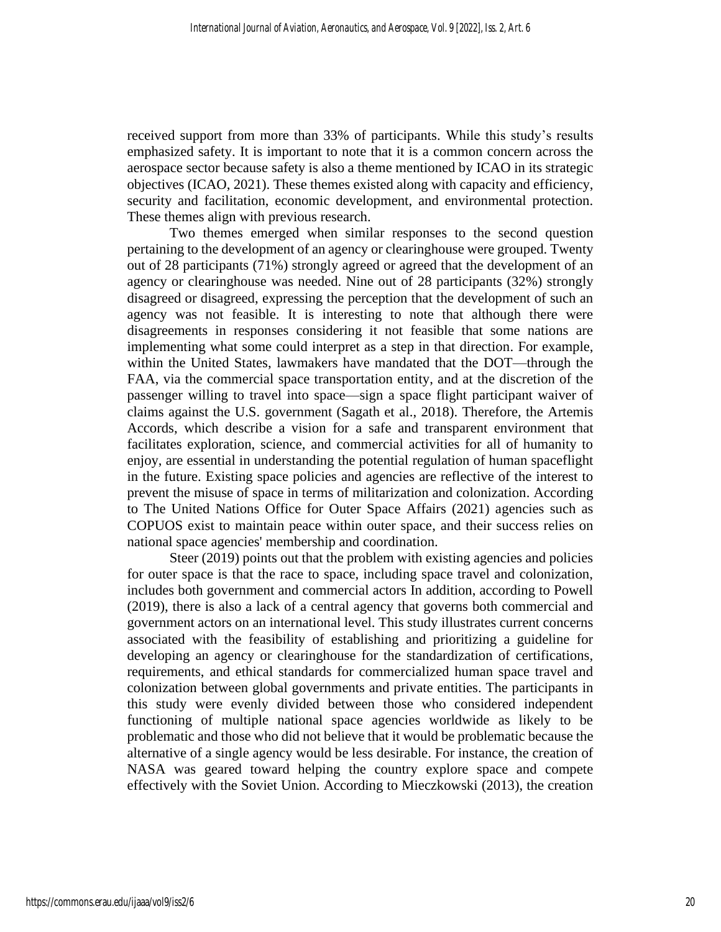received support from more than 33% of participants. While this study's results emphasized safety. It is important to note that it is a common concern across the aerospace sector because safety is also a theme mentioned by ICAO in its strategic objectives (ICAO, 2021). These themes existed along with capacity and efficiency, security and facilitation, economic development, and environmental protection. These themes align with previous research.

Two themes emerged when similar responses to the second question pertaining to the development of an agency or clearinghouse were grouped. Twenty out of 28 participants (71%) strongly agreed or agreed that the development of an agency or clearinghouse was needed. Nine out of 28 participants (32%) strongly disagreed or disagreed, expressing the perception that the development of such an agency was not feasible. It is interesting to note that although there were disagreements in responses considering it not feasible that some nations are implementing what some could interpret as a step in that direction. For example, within the United States, lawmakers have mandated that the DOT—through the FAA, via the commercial space transportation entity, and at the discretion of the passenger willing to travel into space—sign a space flight participant waiver of claims against the U.S. government (Sagath et al., 2018). Therefore, the Artemis Accords, which describe a vision for a safe and transparent environment that facilitates exploration, science, and commercial activities for all of humanity to enjoy, are essential in understanding the potential regulation of human spaceflight in the future. Existing space policies and agencies are reflective of the interest to prevent the misuse of space in terms of militarization and colonization. According to The United Nations Office for Outer Space Affairs (2021) agencies such as COPUOS exist to maintain peace within outer space, and their success relies on national space agencies' membership and coordination.

Steer (2019) points out that the problem with existing agencies and policies for outer space is that the race to space, including space travel and colonization, includes both government and commercial actors In addition, according to Powell (2019), there is also a lack of a central agency that governs both commercial and government actors on an international level. This study illustrates current concerns associated with the feasibility of establishing and prioritizing a guideline for developing an agency or clearinghouse for the standardization of certifications, requirements, and ethical standards for commercialized human space travel and colonization between global governments and private entities. The participants in this study were evenly divided between those who considered independent functioning of multiple national space agencies worldwide as likely to be problematic and those who did not believe that it would be problematic because the alternative of a single agency would be less desirable. For instance, the creation of NASA was geared toward helping the country explore space and compete effectively with the Soviet Union. According to Mieczkowski (2013), the creation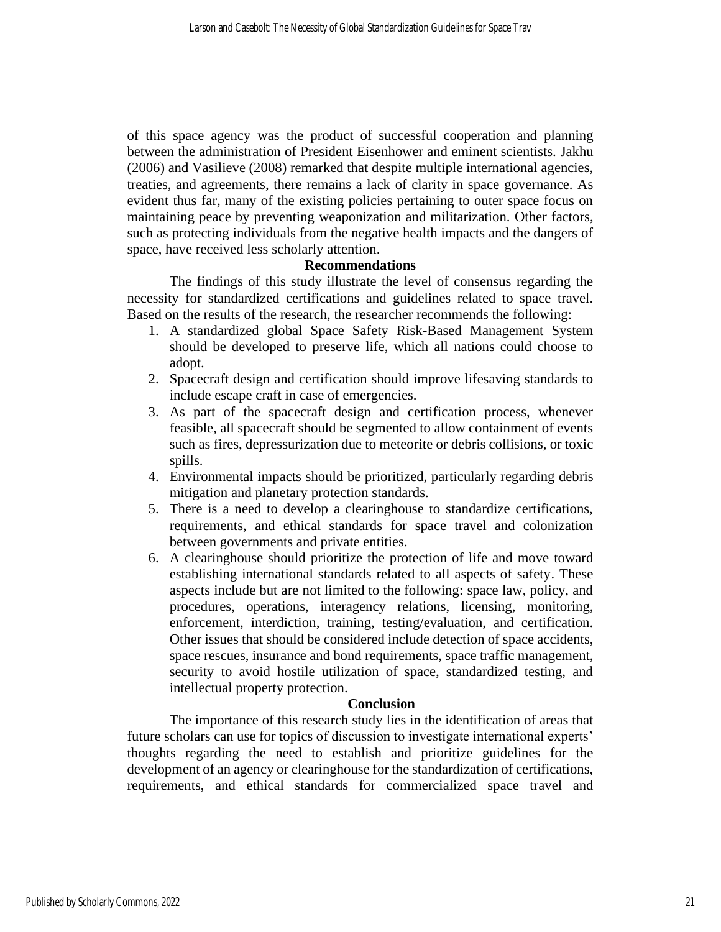of this space agency was the product of successful cooperation and planning between the administration of President Eisenhower and eminent scientists. Jakhu (2006) and Vasilieve (2008) remarked that despite multiple international agencies, treaties, and agreements, there remains a lack of clarity in space governance. As evident thus far, many of the existing policies pertaining to outer space focus on maintaining peace by preventing weaponization and militarization. Other factors, such as protecting individuals from the negative health impacts and the dangers of space, have received less scholarly attention.

## **Recommendations**

The findings of this study illustrate the level of consensus regarding the necessity for standardized certifications and guidelines related to space travel. Based on the results of the research, the researcher recommends the following:

- 1. A standardized global Space Safety Risk-Based Management System should be developed to preserve life, which all nations could choose to adopt.
- 2. Spacecraft design and certification should improve lifesaving standards to include escape craft in case of emergencies.
- 3. As part of the spacecraft design and certification process, whenever feasible, all spacecraft should be segmented to allow containment of events such as fires, depressurization due to meteorite or debris collisions, or toxic spills.
- 4. Environmental impacts should be prioritized, particularly regarding debris mitigation and planetary protection standards.
- 5. There is a need to develop a clearinghouse to standardize certifications, requirements, and ethical standards for space travel and colonization between governments and private entities.
- 6. A clearinghouse should prioritize the protection of life and move toward establishing international standards related to all aspects of safety. These aspects include but are not limited to the following: space law, policy, and procedures, operations, interagency relations, licensing, monitoring, enforcement, interdiction, training, testing/evaluation, and certification. Other issues that should be considered include detection of space accidents, space rescues, insurance and bond requirements, space traffic management, security to avoid hostile utilization of space, standardized testing, and intellectual property protection.

#### **Conclusion**

The importance of this research study lies in the identification of areas that future scholars can use for topics of discussion to investigate international experts' thoughts regarding the need to establish and prioritize guidelines for the development of an agency or clearinghouse for the standardization of certifications, requirements, and ethical standards for commercialized space travel and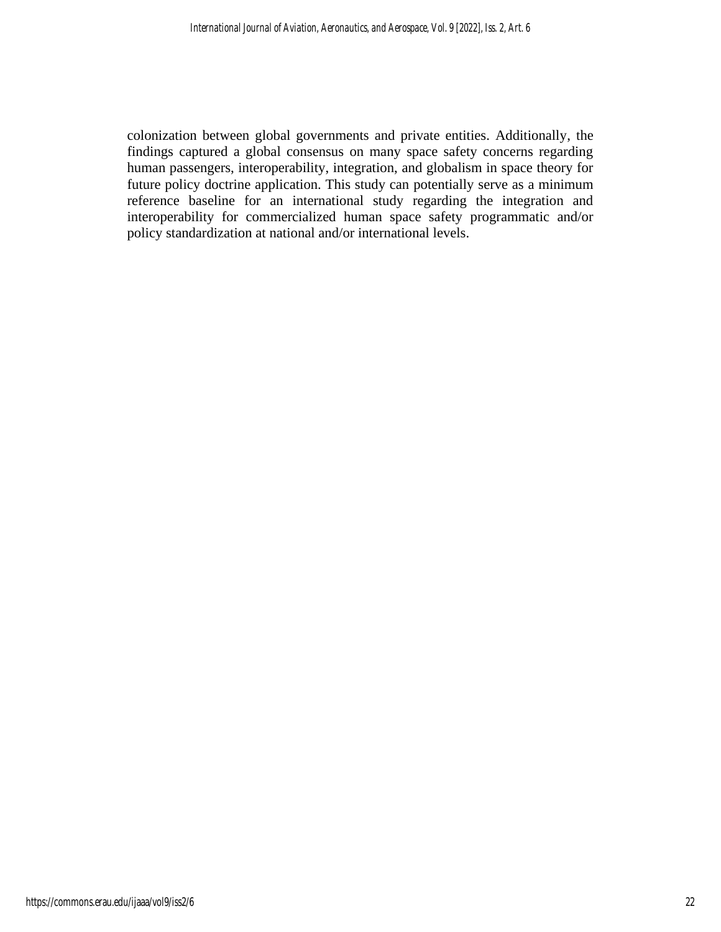colonization between global governments and private entities. Additionally, the findings captured a global consensus on many space safety concerns regarding human passengers, interoperability, integration, and globalism in space theory for future policy doctrine application. This study can potentially serve as a minimum reference baseline for an international study regarding the integration and interoperability for commercialized human space safety programmatic and/or policy standardization at national and/or international levels.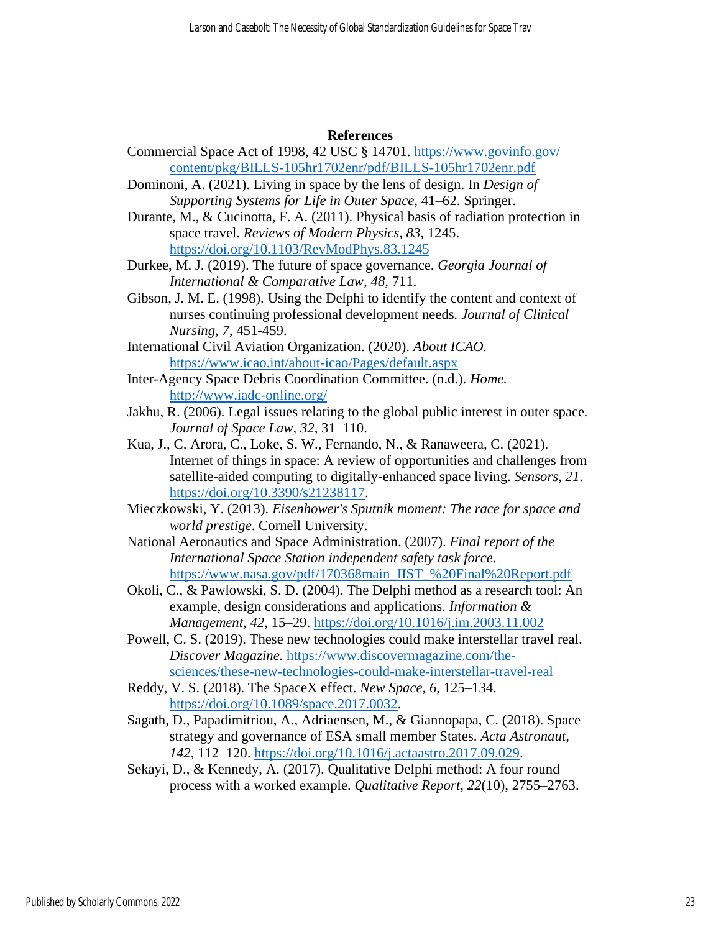## **References**

- Commercial Space Act of 1998, 42 USC § 14701. [https://www.govinfo.gov/](https://www.govinfo.gov/%20content/pkg/BILLS-105hr1702enr/pdf/BILLS-105hr1702enr.pdf)  [content/pkg/BILLS-105hr1702enr/pdf/BILLS-105hr1702enr.pdf](https://www.govinfo.gov/%20content/pkg/BILLS-105hr1702enr/pdf/BILLS-105hr1702enr.pdf)
- Dominoni, A. (2021). Living in space by the lens of design. In *Design of Supporting Systems for Life in Outer Space*, 41–62. Springer.
- Durante, M., & Cucinotta, F. A. (2011). Physical basis of radiation protection in space travel. *Reviews of Modern Physics, 83*, 1245.

<https://doi.org/10.1103/RevModPhys.83.1245>

Durkee, M. J. (2019). The future of space governance. *Georgia Journal of International & Comparative Law, 48,* 711.

- Gibson, J. M. E. (1998). Using the Delphi to identify the content and context of nurses continuing professional development needs*. Journal of Clinical Nursing, 7,* 451-459.
- International Civil Aviation Organization. (2020). *About ICAO.* <https://www.icao.int/about-icao/Pages/default.aspx>
- Inter-Agency Space Debris Coordination Committee. (n.d.). *Home.* <http://www.iadc-online.org/>
- Jakhu, R. (2006). Legal issues relating to the global public interest in outer space*. Journal of Space Law, 32*, 31–110.
- Kua, J., C. Arora, C., Loke, S. W., Fernando, N., & Ranaweera, C. (2021). Internet of things in space: A review of opportunities and challenges from satellite-aided computing to digitally-enhanced space living. *Sensors, 21*. [https://doi.org/10.3390/s21238117.](https://doi.org/10.3390/s21238117)
- Mieczkowski, Y. (2013). *Eisenhower's Sputnik moment: The race for space and world prestige*. Cornell University.
- National Aeronautics and Space Administration. (2007). *Final report of the International Space Station independent safety task force*. [https://www.nasa.gov/pdf/170368main\\_IIST\\_%20Final%20Report.pdf](https://www.nasa.gov/pdf/170368main_IIST_%20Final%20Report.pdf)
- Okoli, C., & Pawlowski, S. D. (2004). The Delphi method as a research tool: An example, design considerations and applications. *Information & Management, 42*, 15–29.<https://doi.org/10.1016/j.im.2003.11.002>
- Powell, C. S. (2019). These new technologies could make interstellar travel real. *Discover Magazine.* [https://www.discovermagazine.com/the](https://www.discovermagazine.com/the-sciences/these-new-technologies-could-make-interstellar-travel-real)[sciences/these-new-technologies-could-make-interstellar-travel-real](https://www.discovermagazine.com/the-sciences/these-new-technologies-could-make-interstellar-travel-real)
- Reddy, V. S. (2018). The SpaceX effect. *New Space, 6*, 125–134. [https://doi.org/10.1089/space.2017.0032.](https://doi.org/10.1089/space.2017.0032)
- Sagath, D., Papadimitriou, A., Adriaensen, M., & Giannopapa, C. (2018). Space strategy and governance of ESA small member States. *Acta Astronaut, 142*, 112–120. [https://doi.org/10.1016/j.actaastro.2017.09.029.](https://doi.org/10.1016/j.actaastro.2017.09.029)
- Sekayi, D., & Kennedy, A. (2017). Qualitative Delphi method: A four round process with a worked example. *Qualitative Report, 22*(10), 2755–2763.